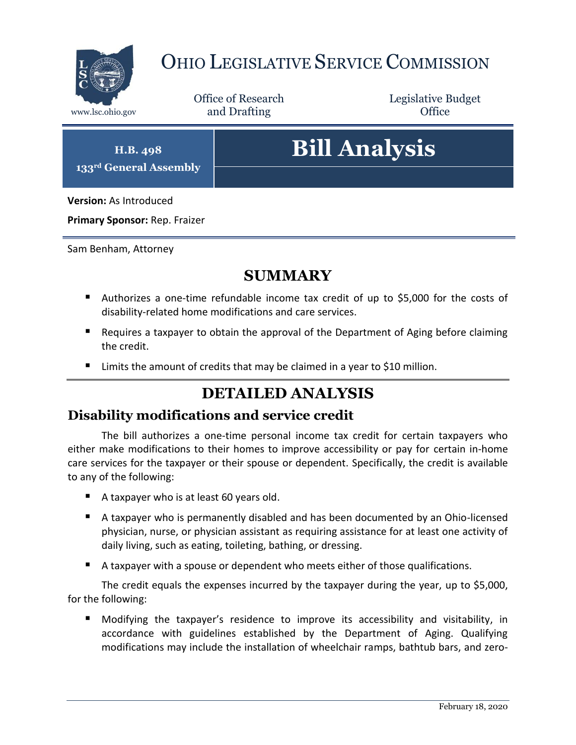

## OHIO LEGISLATIVE SERVICE COMMISSION

Office of Research www.lsc.ohio.gov **and Drafting Office** 

Legislative Budget

**H.B. 498 133rd General Assembly**

# **Bill Analysis**

**Version:** As Introduced

**Primary Sponsor:** Rep. Fraizer

Sam Benham, Attorney

### **SUMMARY**

- Authorizes a one-time refundable income tax credit of up to \$5,000 for the costs of disability-related home modifications and care services.
- Requires a taxpayer to obtain the approval of the Department of Aging before claiming the credit.
- Limits the amount of credits that may be claimed in a year to \$10 million.

## **DETAILED ANALYSIS**

#### **Disability modifications and service credit**

The bill authorizes a one-time personal income tax credit for certain taxpayers who either make modifications to their homes to improve accessibility or pay for certain in-home care services for the taxpayer or their spouse or dependent. Specifically, the credit is available to any of the following:

- A taxpayer who is at least 60 years old.
- A taxpayer who is permanently disabled and has been documented by an Ohio-licensed physician, nurse, or physician assistant as requiring assistance for at least one activity of daily living, such as eating, toileting, bathing, or dressing.
- A taxpayer with a spouse or dependent who meets either of those qualifications.

The credit equals the expenses incurred by the taxpayer during the year, up to \$5,000, for the following:

 Modifying the taxpayer's residence to improve its accessibility and visitability, in accordance with guidelines established by the Department of Aging. Qualifying modifications may include the installation of wheelchair ramps, bathtub bars, and zero